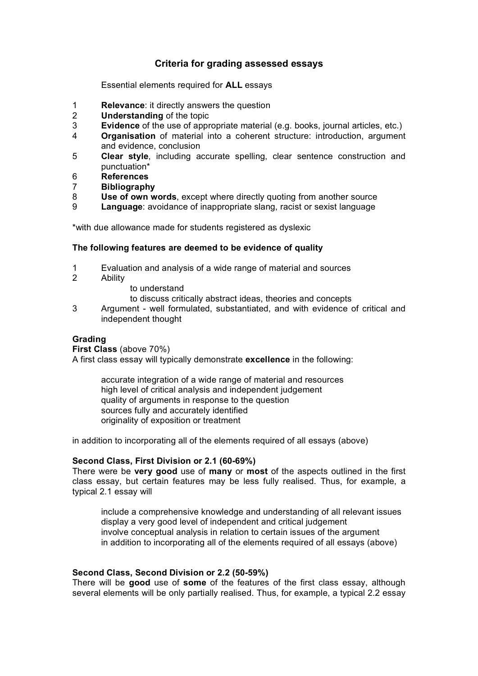# **Criteria for grading assessed essays**

Essential elements required for **ALL** essays

- 1 **Relevance**: it directly answers the question
- 2 **Understanding** of the topic
- 3 **Evidence** of the use of appropriate material (e.g. books, journal articles, etc.)
- 4 **Organisation** of material into a coherent structure: introduction, argument and evidence, conclusion
- 5 **Clear style**, including accurate spelling, clear sentence construction and punctuation\*
- 6 **References**
- 7 **Bibliography**
- 8 **Use of own words**, except where directly quoting from another source
- 9 **Language**: avoidance of inappropriate slang, racist or sexist language

\*with due allowance made for students registered as dyslexic

#### **The following features are deemed to be evidence of quality**

- 1 Evaluation and analysis of a wide range of material and sources<br>2 Ability
- **Ability** 
	- to understand

to discuss critically abstract ideas, theories and concepts

3 Argument - well formulated, substantiated, and with evidence of critical and independent thought

## **Grading**

**First Class** (above 70%)

A first class essay will typically demonstrate **excellence** in the following:

accurate integration of a wide range of material and resources high level of critical analysis and independent judgement quality of arguments in response to the question sources fully and accurately identified originality of exposition or treatment

in addition to incorporating all of the elements required of all essays (above)

## **Second Class, First Division or 2.1 (60-69%)**

There were be **very good** use of **many** or **most** of the aspects outlined in the first class essay, but certain features may be less fully realised. Thus, for example, a typical 2.1 essay will

include a comprehensive knowledge and understanding of all relevant issues display a very good level of independent and critical judgement involve conceptual analysis in relation to certain issues of the argument in addition to incorporating all of the elements required of all essays (above)

#### **Second Class, Second Division or 2.2 (50-59%)**

There will be **good** use of **some** of the features of the first class essay, although several elements will be only partially realised. Thus, for example, a typical 2.2 essay